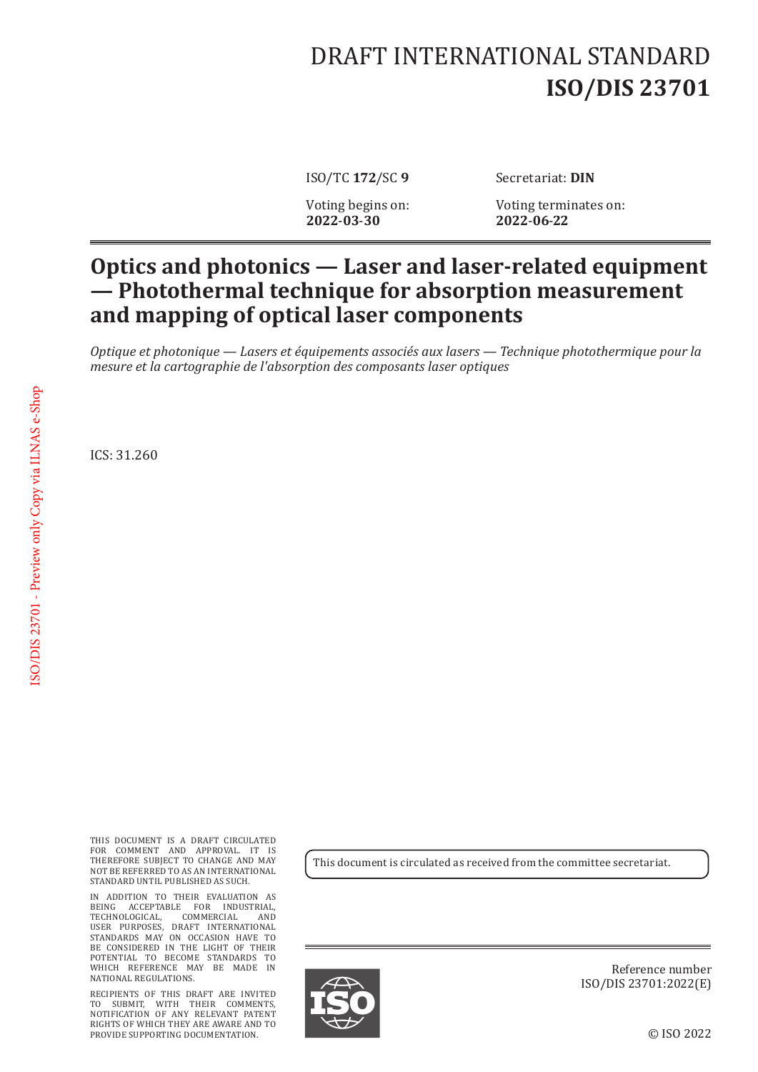## DRAFT INTERNATIONAL STANDARD **ISO/DIS 23701**

ISO/TC 172/SC 9 Secretariat: DIN

Voting begins on: 2022-03-30

Voting terminates on: **2022**-**06**-**22**

## **Optics and photonics — Laser and laser-related equipment — Photothermal technique for absorption measurement and mapping of optical laser components**

*Optique et photonique — Lasers et équipements associés aux lasers — Technique photothermique pour la mesure et la cartographie de l'absorption des composants laser optiques*

ICS: 31.260

THIS DOCUMENT IS A DRAFT CIRCULATED FOR COMMENT AND APPROVAL. IT IS THEREFORE SUBJECT TO CHANGE AND MAY NOT BE REFERRED TO AS AN INTERNATIONAL STANDARD UNTIL PUBLISHED AS SUCH.

IN ADDITION TO THEIR EVALUATION AS BEING ACCEPTABLE FOR INDUSTRIAL, TECHNOLOGICAL, COMMERCIAL AND USER PURPOSES, DRAFT INTERNATIONAL STANDARDS MAY ON OCCASION HAVE TO BE CONSIDERED IN THE LIGHT OF THEIR POTENTIAL TO BECOME STANDARDS TO WHICH REFERENCE MAY BE MADE IN NATIONAL REGULATIONS.

RECIPIENTS OF THIS DRAFT ARE INVITED TO SUBMIT, WITH THEIR COMMENTS, NOTIFICATION OF ANY RELEVANT PATENT RIGHTS OF WHICH THEY ARE AWARE AND TO PROVIDE SUPPORTING DOCUMENTATION.

This document is circulated as received from the committee secretariat.



Reference number ISO/DIS 23701:2022(E)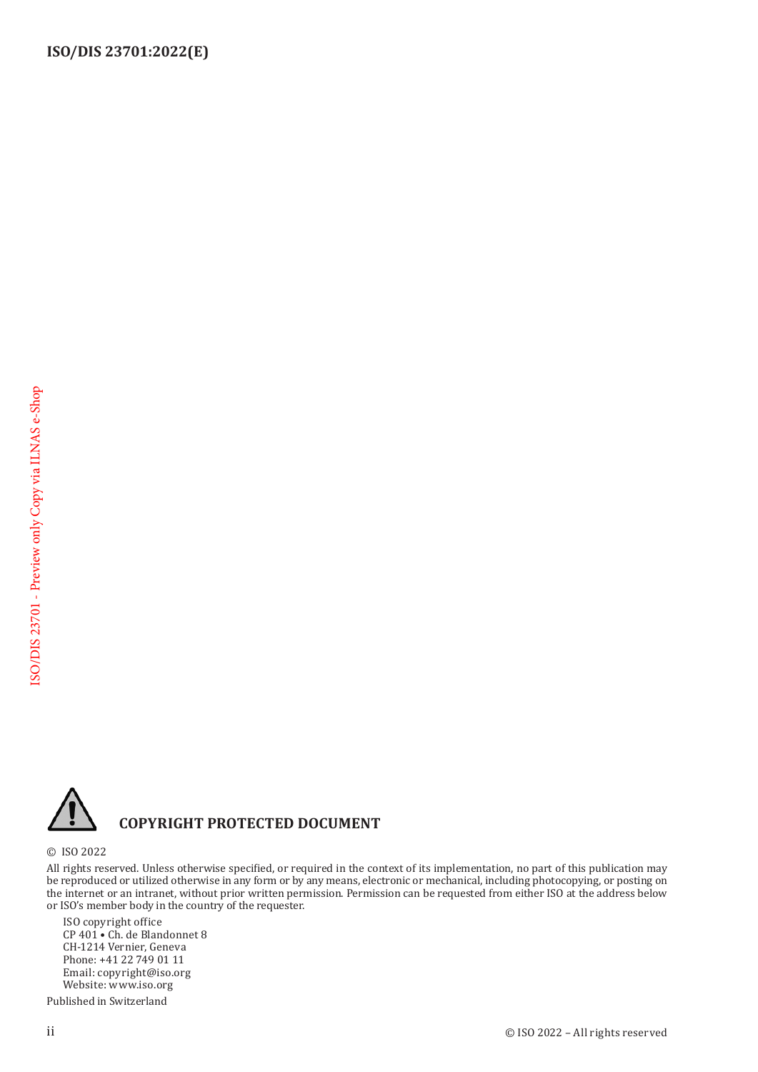

## **COPYRIGHT PROTECTED DOCUMENT**

© ISO 2022

All rights reserved. Unless otherwise specified, or required in the context of its implementation, no part of this publication may be reproduced or utilized otherwise in any form or by any means, electronic or mechanical, including photocopying, or posting on the internet or an intranet, without prior written permission. Permission can be requested from either ISO at the address below or ISO's member body in the country of the requester.

ISO copyright office CP 401 • Ch. de Blandonnet 8 CH-1214 Vernier, Geneva Phone: +41 22 749 01 11 Email: copyright@iso.org Website: www.iso.org

Published in Switzerland